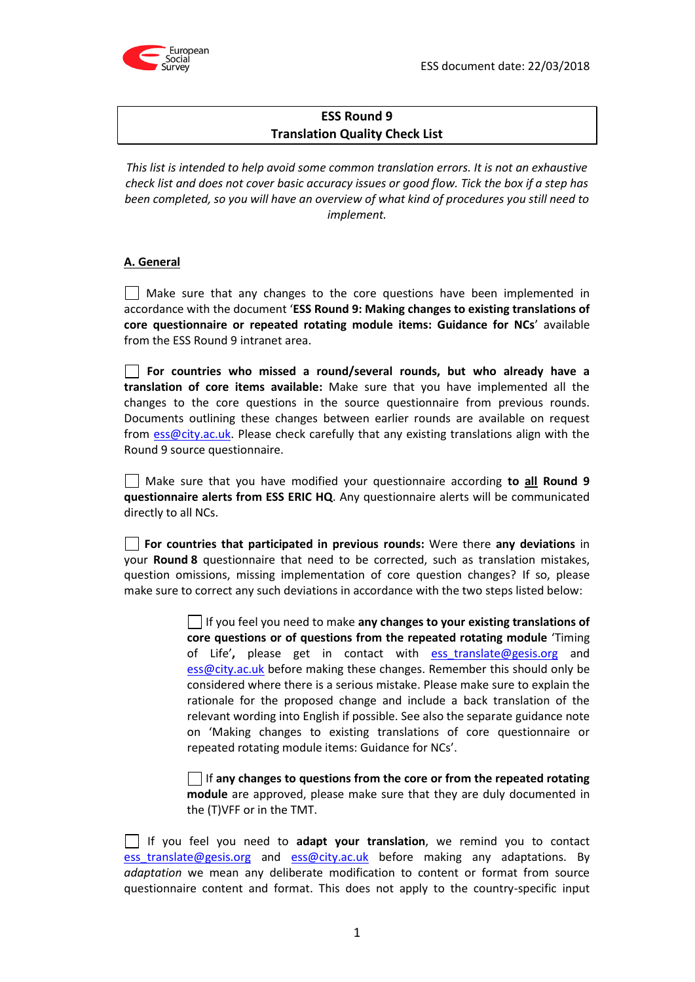

# **ESS Round 9 Translation Quality Check List**

*This list is intended to help avoid some common translation errors. It is not an exhaustive check list and does not cover basic accuracy issues or good flow. Tick the box if a step has been completed, so you will have an overview of what kind of procedures you still need to implement.*

# **A. General**

Make sure that any changes to the core questions have been implemented in accordance with the document '**ESS Round 9: Making changes to existing translations of core questionnaire or repeated rotating module items: Guidance for NCs**' available from the ESS Round 9 intranet area.

**For countries who missed a round/several rounds, but who already have a translation of core items available:** Make sure that you have implemented all the changes to the core questions in the source questionnaire from previous rounds. [Documents](http://documents/) outlining these changes between earlier rounds are available on request from [ess@city.ac.uk.](mailto:ess@city.ac.uk) Please check carefully that any existing translations align with the Round 9 source questionnaire.

Make sure that you have modified your questionnaire according **to all Round 9 questionnaire alerts from ESS ERIC HQ**. Any questionnaire alerts will be communicated directly to all NCs.

**For countries that participated in previous rounds:** Were there **any deviations** in your **Round 8** questionnaire that need to be corrected, such as translation mistakes, question omissions, missing implementation of core question changes? If so, please make sure to correct any such deviations in accordance with the two steps listed below:

> If you feel you need to make **any changes to your existing translations of core questions or of questions from the repeated rotating module** 'Timing of Life'**,** please get in contact with [ess\\_translate@gesis.org](mailto:ess_translate@gesis.org) and ess@city.ac.uk before making these changes. Remember this should only be considered where there is a serious mistake. Please make sure to explain the rationale for the proposed change and include a back translation of the relevant wording into English if possible. See also the separate guidance note on 'Making changes to existing translations of core questionnaire or repeated rotating module items: Guidance for NCs'.

> If **any changes to questions from the core or from the repeated rotating module** are approved, please make sure that they are duly documented in the (T)VFF or in the TMT.

If you feel you need to **adapt your translation**, we remind you to contact ess translate@gesis.org and ess@city.ac.uk before making any adaptations. By *adaptation* we mean any deliberate modification to content or format from source questionnaire content and format. This does not apply to the country-specific input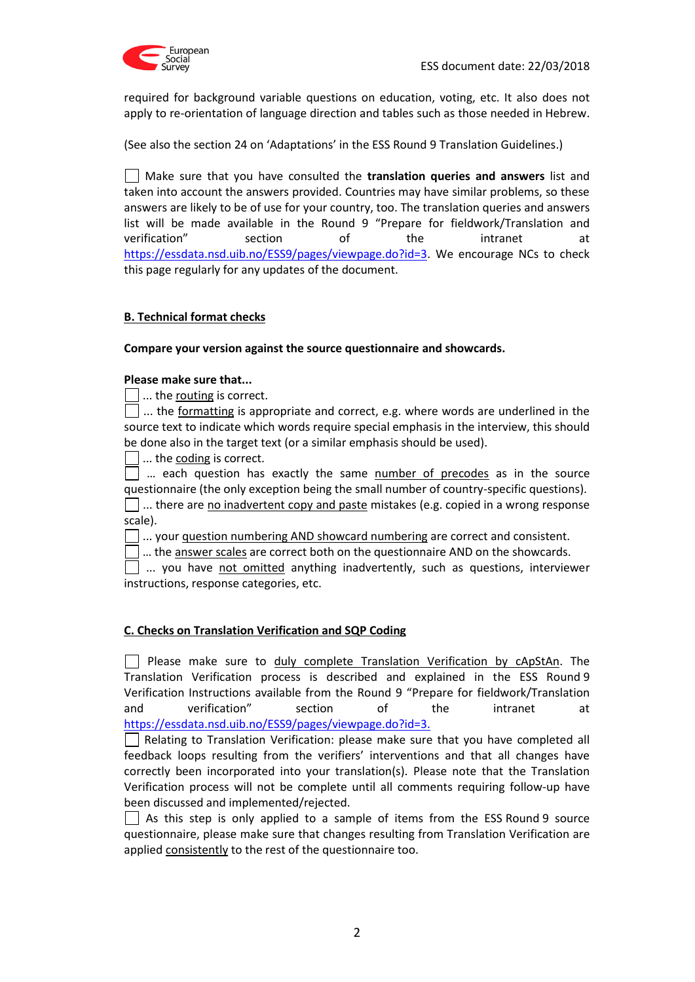

required for background variable questions on education, voting, etc. It also does not apply to re-orientation of language direction and tables such as those needed in Hebrew.

(See also the section 24 on 'Adaptations' in the ESS Round 9 Translation Guidelines.)

Make sure that you have consulted the **translation queries and answers** list and taken into account the answers provided. Countries may have similar problems, so these answers are likely to be of use for your country, too. The translation queries and answers list will be made available in the Round 9 "Prepare for fieldwork/Translation and verification" section of the intranet at https://essdata.nsd.uib.no/ESS9/pages/viewpage.do?id=3. We encourage NCs to check this page regularly for any updates of the document.

# **B. Technical format checks**

#### **Compare your version against the source questionnaire and showcards.**

#### **Please make sure that...**

 $\vert \ \vert$  ... the routing is correct.

... the formatting is appropriate and correct, e.g. where words are underlined in the source text to indicate which words require special emphasis in the interview, this should be done also in the target text (or a similar emphasis should be used).

... the coding is correct.

 $\vert \ \vert$  ... each question has exactly the same number of precodes as in the source questionnaire (the only exception being the small number of country-specific questions).  $\Box$  ... there are no inadvertent copy and paste mistakes (e.g. copied in a wrong response scale).

... your question numbering AND showcard numbering are correct and consistent.

 $\vert \ \vert$  ... the answer scales are correct both on the questionnaire AND on the showcards.

 $\Box$  ... you have not omitted anything inadvertently, such as questions, interviewer instructions, response categories, etc.

#### **C. Checks on Translation Verification and SQP Coding**

 $\Box$  Please make sure to duly complete Translation Verification by cApStAn. The Translation Verification process is described and explained in the ESS Round 9 Verification Instructions available from the Round 9 "Prepare for fieldwork/Translation and verification" section of the intranet at https://essdata.nsd.uib.no/ESS9/pages/viewpage.do?id=3.

Relating to Translation Verification: please make sure that you have completed all feedback loops resulting from the verifiers' interventions and that all changes have correctly been incorporated into your translation(s). Please note that the Translation Verification process will not be complete until all comments requiring follow-up have been discussed and implemented/rejected.

As this step is only applied to a sample of items from the ESS Round 9 source questionnaire, please make sure that changes resulting from Translation Verification are applied consistently to the rest of the questionnaire too.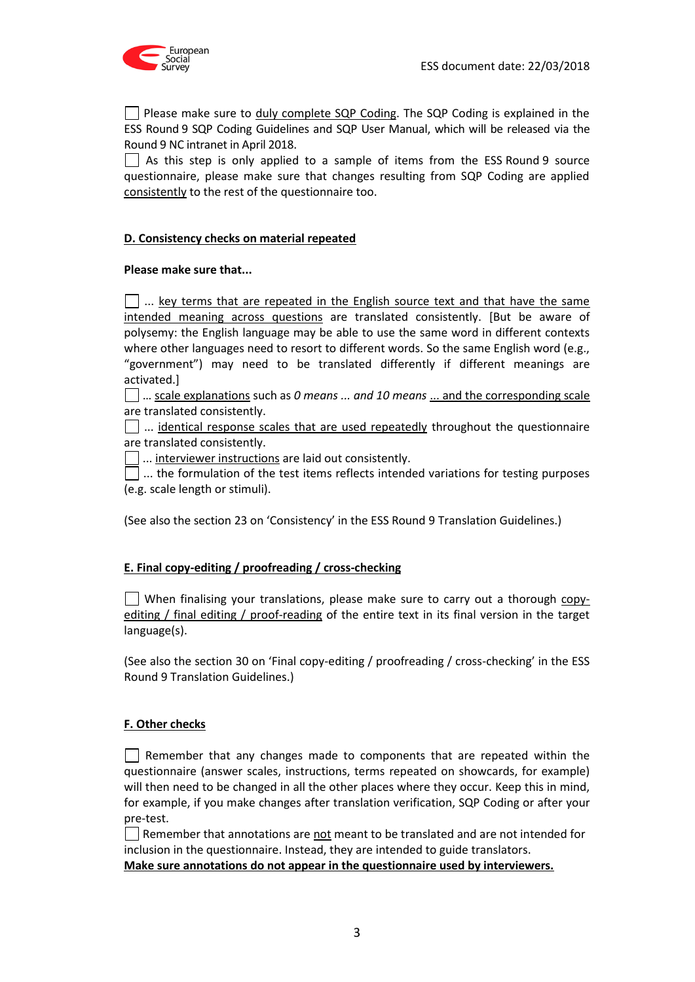

**Please make sure to duly complete SQP Coding. The SQP Coding is explained in the** ESS Round 9 SQP Coding Guidelines and SQP User Manual, which will be released via the Round 9 NC intranet in April 2018.

 $\Box$  As this step is only applied to a sample of items from the ESS Round 9 source questionnaire, please make sure that changes resulting from SQP Coding are applied consistently to the rest of the questionnaire too.

# **D. Consistency checks on material repeated**

#### **Please make sure that...**

 $\Box$  ... key terms that are repeated in the English source text and that have the same intended meaning across questions are translated consistently. [But be aware of polysemy: the English language may be able to use the same word in different contexts where other languages need to resort to different words. So the same English word (e.g., "government") may need to be translated differently if different meanings are activated.]

… scale explanations such as *0 means ... and 10 means* ... and the corresponding scale are translated consistently.

 $\Box$  ... identical response scales that are used repeatedly throughout the questionnaire are translated consistently.

... interviewer instructions are laid out consistently.

 $\vert\ \vert$  ... the formulation of the test items reflects intended variations for testing purposes (e.g. scale length or stimuli).

(See also the section 23 on 'Consistency' in the ESS Round 9 Translation Guidelines.)

#### **E. Final copy-editing / proofreading / cross-checking**

When finalising your translations, please make sure to carry out a thorough  $\frac{\text{copy}}{\text{copy}}$ editing / final editing / proof-reading of the entire text in its final version in the target language(s).

(See also the section 30 on 'Final copy-editing / proofreading / cross-checking' in the ESS Round 9 Translation Guidelines.)

#### **F. Other checks**

 $\vert \ \vert$  Remember that any changes made to components that are repeated within the questionnaire (answer scales, instructions, terms repeated on showcards, for example) will then need to be changed in all the other places where they occur. Keep this in mind, for example, if you make changes after translation verification, SQP Coding or after your pre-test.

Remember that annotations are not meant to be translated and are not intended for inclusion in the questionnaire. Instead, they are intended to guide translators.

**Make sure annotations do not appear in the questionnaire used by interviewers.**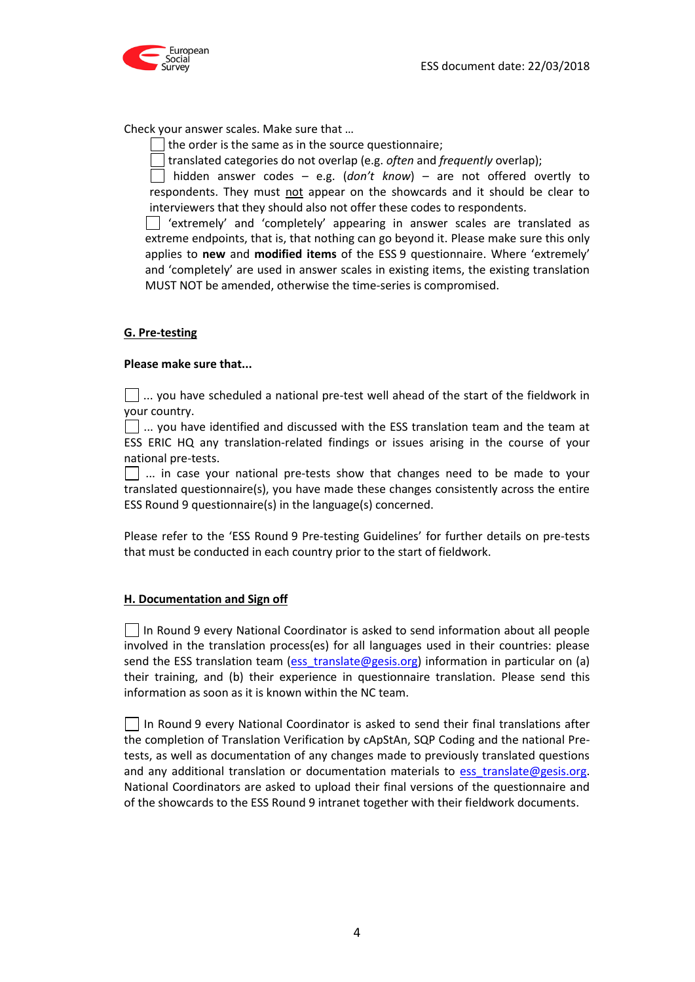

Check your answer scales. Make sure that …

 $\Box$  the order is the same as in the source questionnaire;

translated categories do not overlap (e.g. *often* and *frequently* overlap);

hidden answer codes – e.g. (*don't know*) – are not offered overtly to respondents. They must not appear on the showcards and it should be clear to interviewers that they should also not offer these codes to respondents.

'extremely' and 'completely' appearing in answer scales are translated as extreme endpoints, that is, that nothing can go beyond it. Please make sure this only applies to **new** and **modified items** of the ESS 9 questionnaire. Where 'extremely' and 'completely' are used in answer scales in existing items, the existing translation MUST NOT be amended, otherwise the time-series is compromised.

# **G. Pre-testing**

#### **Please make sure that...**

 $\vert \ \vert$  ... you have scheduled a national pre-test well ahead of the start of the fieldwork in your country.

 $\Box$  ... you have identified and discussed with the ESS translation team and the team at ESS ERIC HQ any translation-related findings or issues arising in the course of your national pre-tests.

 $\vert \ \vert$  ... in case your national pre-tests show that changes need to be made to your translated questionnaire(s), you have made these changes consistently across the entire ESS Round 9 questionnaire(s) in the language(s) concerned.

Please refer to the 'ESS Round 9 Pre-testing Guidelines' for further details on pre-tests that must be conducted in each country prior to the start of fieldwork.

#### **H. Documentation and Sign off**

 $\Box$  In Round 9 every National Coordinator is asked to send information about all people involved in the translation process(es) for all languages used in their countries: please send the ESS translation team [\(ess\\_translate@gesis.org\)](mailto:ess_translate@gesis.org) information in particular on (a) their training, and (b) their experience in questionnaire translation. Please send this information as soon as it is known within the NC team.

 $\Box$  In Round 9 every National Coordinator is asked to send their final translations after the completion of Translation Verification by cApStAn, SQP Coding and the national Pretests, as well as documentation of any changes made to previously translated questions and any additional translation or documentation materials to [ess\\_translate@gesis.org.](mailto:ess_translate@gesis.org) National Coordinators are asked to upload their final versions of the questionnaire and of the showcards to the ESS Round 9 intranet together with their fieldwork documents.